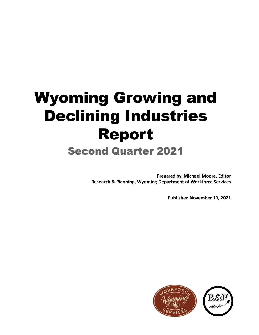# Wyoming Growing and Declining Industries Report

# Second Quarter 2021

**Prepared by: Michael Moore, Editor Research & Planning, Wyoming Department of Workforce Services**

**Published November 10, 2021**

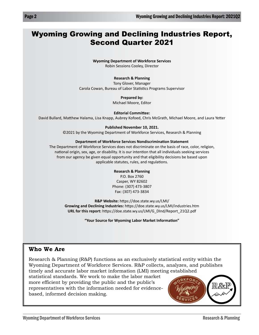## Wyoming Growing and Declining Industries Report, Second Quarter 2021

**Wyoming Department of Workforce Services** Robin Sessions Cooley, Director

#### **Research & Planning**

Tony Glover, Manager Carola Cowan, Bureau of Labor Statistics Programs Supervisor

#### **Prepared by:**

Michael Moore, Editor

**Editorial Committee:**

David Bullard, Matthew Halama, Lisa Knapp, Aubrey Kofoed, Chris McGrath, Michael Moore, and Laura Yetter

#### **Published November 10, 2021.**

©2021 by the Wyoming Department of Workforce Services, Research & Planning

#### **Department of Workforce Services Nondiscrimination Statement**

The Department of Workforce Services does not discriminate on the basis of race, color, religion, national origin, sex, age, or disability. It is our intention that all individuals seeking services from our agency be given equal opportunity and that eligibility decisions be based upon applicable statutes, rules, and regulations.

#### **Research & Planning**

P.O. Box 2760 Casper, WY 82602 Phone: (307) 473-3807 Fax: (307) 473-3834

**R&P Website:** https://doe.state.wy.us/LMI/ **Growing and Declining Industries:** https://doe.state.wy.us/LMI/industries.htm **URL for this report:** https://doe.state.wy.us/LMI/G\_DInd/Report\_21Q2.pdf

**"Your Source for Wyoming Labor Market Information"**

### **Who We Are**

Research & Planning (R&P) functions as an exclusively statistical entity within the Wyoming Department of Workforce Services. R&P collects, analyzes, and publishes timely and accurate labor market information (LMI) meeting established

statistical standards. We work to make the labor market more efficient by providing the public and the public's representatives with the information needed for evidencebased, informed decision making.

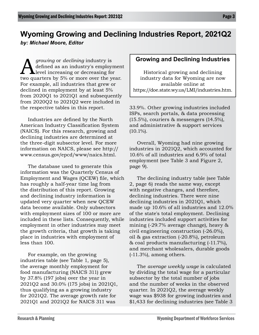# **Wyoming Growing and Declining Industries Report, 2021Q2**

*by: Michael Moore, Editor*

*growing* or *declining* industry is<br>defined as an industry's employing<br>two quarters by 5% or more over the year defined as an industry's employment level increasing or decreasing for two quarters by 5% or more over the year. For example, all industries that grew or declined in employment by at least 5% from 2020Q1 to 2021Q1 and subsequently from 2020Q2 to 2021Q2 were included in the respective tables in this report.

Industries are defined by the North American Industry Classification System (NAICS). For this research, growing and declining industries are determined at the three-digit subsector level. For more information on NAICS, please see http:// www.census.gov/epcd/www/naics.html.

The database used to generate this information was the Quarterly Census of Employment and Wages (QCEW) file, which has roughly a half-year time lag from the distribution of this report. Growing and declining industry information is updated very quarter when new QCEW data become available. Only subsectors with employment sizes of 100 or more are included in these lists. Consequently, while employment in other industries may meet the growth criteria, that growth is taking place in industries with employment of less than 100.

For example, on the growing industries table (see Table 1, page 5), the average monthly employment for food manufacturing (NAICS 311) grew by 37.8% (197 jobs) over the year in 2021Q2 and 30.0% (175 jobs) in 2021Q1, thus qualifying as a growing industry for 2021Q2. The average growth rate for 2021Q1 and 2021Q2 for NAICS 311 was

### **Growing and Declining Industries**

Historical growing and declining industry data for Wyoming are now available online at https://doe.state.wy.us/LMI/industries.htm.

33.9%. Other growing industries included ISPs, search portals, & data processing (15.5%), couriers & messengers (14.5%), and administrative & support services  $(10.1\%)$ .

Overall, Wyoming had nine growing industries in 2021Q2, which accounted for 10.6% of all industries and 6.9% of total employment (see Table 3 and Figure 2, page 9).

The declining industry table (see Table 2, page 6) reads the same way, except with negative changes, and therefore, declining industries. There were nine declining industries in 2021Q1, which made up 10.6% of all industries and 12.0% of the state's total employment. Declining industries included support activities for mining (-29.7% average change), heavy & civil engineering construction (-26.0%), oil & gas extraction (-20.8%), petroleum & coal products manufacturing (-11.7%), and merchant wholesalers, durable goods  $(-11.3\%)$ , among others.

The *average weekly wage* is calculated by dividing the total wage for a particular subsector by the total number of jobs and the number of weeks in the observed quarter. In 2021Q2, the average weekly wage was \$938 for growing industries and \$1,433 for declining industries (see Table 3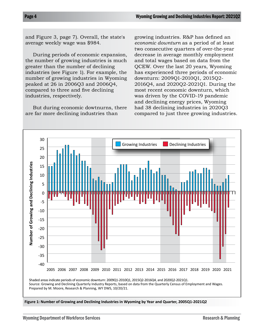and Figure 3, page 7). Overall, the state's average weekly wage was \$984.

During periods of economic expansion, the number of growing industries is much greater than the number of declining industries (see Figure 1). For example, the number of growing industries in Wyoming peaked at 26 in 2006Q3 and 2006Q4, compared to three and five declining industries, respectively.

But during economic dowtnurns, there are far more declining industries than

growing industries. R&P has defined an *economic downturn* as a period of at least two consecutive quarters of over-the-year decrease in average monthly employment and total wages based on data from the QCEW. Over the last 20 years, Wyoming has experienced three periods of economic downturn: 2009Q1-2010Q1, 2015Q2- 2016Q4, and 2020Q2-2021Q1. During the most recent economic downturn, which was driven by the COVID-19 pandemic and declining energy prices, Wyoming had 38 declining industries in 2020Q3 compared to just three growing industries.



**Figure 1: Number of Growing and Declining Industries in Wyoming by Year and Quarter, 2005Q1-2021Q2**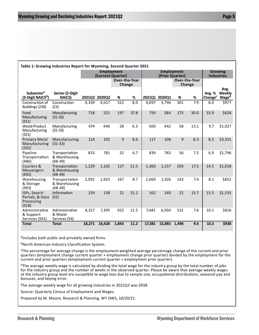| Table 1: Growing Industries Report for Wyoming, Second Quarter 2021 |                                              |                                        |        |                         |      |                                      |                         |       |      |                                     |                                |
|---------------------------------------------------------------------|----------------------------------------------|----------------------------------------|--------|-------------------------|------|--------------------------------------|-------------------------|-------|------|-------------------------------------|--------------------------------|
|                                                                     |                                              | <b>Employment</b><br>(Current Quarter) |        |                         |      | <b>Employment</b><br>(Prior Quarter) |                         |       |      | <b>Growing</b><br><b>Industries</b> |                                |
|                                                                     |                                              |                                        |        | Over-the-Year<br>Change |      |                                      | Over-the-Year<br>Change |       |      |                                     |                                |
| Subsector <sup>a</sup><br>(3-Digit NAICS <sup>b</sup> )             | Sector (2-Digit<br><b>NAICS</b>              | 2021Q2 2020Q2                          |        | N                       | %    |                                      | 2021Q1 2020Q1           | N     | %    | Avg. %<br>Change <sup>c</sup>       | Avg.<br>Weekly<br><b>Waged</b> |
| Construction of<br>Buildings (236)                                  | Construction<br>(23)                         | 4,339                                  | 4,017  | 322                     | 8.0  | 4,097                                | 3,796                   | 301   | 7.9  | 8.0                                 | \$977                          |
| Food<br>Manufacturing<br>(311)                                      | Manufacturing<br>$(31-33)$                   | 718                                    | 521    | 197                     | 37.8 | 759                                  | 584                     | 175   | 30.0 | 33.9                                | \$628                          |
| <b>Wood Product</b><br>Manufacturing<br>(321)                       | Manufacturing<br>$(31-33)$                   | 474                                    | 446    | 28                      | 6.3  | 500                                  | 442                     | 58    | 13.1 | 9.7                                 | \$1,027                        |
| <b>Primary Metal</b><br>Manufacturing<br>(331)                      | Manufacturing<br>$(31-33)$                   | 114                                    | 105    | 9                       | 8.6  | 117                                  | 108                     | 9     | 8.3  | 8.5                                 | \$3,551                        |
| Pipeline<br>Transportation<br>(486)                                 | Transportation<br>& Warehousing<br>$(48-49)$ | 833                                    | 781    | 52                      | 6.7  | 839                                  | 783                     | 56    | 7.2  | 6.9                                 | \$1,796                        |
| Couriers &<br><b>Messengers</b><br>(492)                            | Transportation<br>& Warehousing<br>$(48-49)$ | 1,229                                  | 1,102  | 127                     | 11.5 | 1,360                                | 1,157                   | 203   | 17.5 | 14.5                                | \$1,018                        |
| Warehousing<br>& Storage<br>(493)                                   | Transportation<br>& Warehousing<br>$(48-49)$ | 2,092                                  | 1,925  | 167                     | 8.7  | 2,069                                | 1,926                   | 143   | 7.4  | 8.1                                 | \$852                          |
| ISPs, Search<br>Portals, & Data<br>Processing<br>(518)              | Information<br>(51)                          | 159                                    | 138    | 21                      | 15.2 | 162                                  | 140                     | 22    | 15.7 | 15.5                                | \$1,535                        |
| Administrative<br>& Support<br>Services (561)                       | Administrative<br>& Waste<br>Services (56)   | 8,317                                  | 7,395  | 922                     | 12.5 | 7,481                                | 6,950                   | 531   | 7.6  | 10.1                                | \$816                          |
| <b>Total</b>                                                        | <b>Total</b>                                 | 18,271                                 | 16,428 | 1,843                   | 11.2 | 17,381                               | 15,883                  | 1,498 | 9.4  | 10.3                                | \$938                          |

aIncludes both public and privately owned firms.

bNorth American Industry Classification System.

c The percentage for average change is the employment-weighted average percentage change of the current and prior quarters (employment change current quarter + employment change prior quarter) divided by the employment for the current and prior quarters (employment current quarter + employment prior quarter).

<sup>d</sup>The average weekly wage is calculated by dividing the total wage for the industry group by the total number of jobs for the industry group and the number of weeks in the observed quarter. Please be aware that average weekly wages at the industry group level are suceptible to wage bias due to sample size, occupational distributions, seasonal pay and bonuses, and keying error.

The average weekly wage for all growing industries in 2021Q2 was \$938.

Source: Quarterly Census of Employment and Wages.

Prepared by M. Moore, Research & Planning, WY DWS, 10/20/21.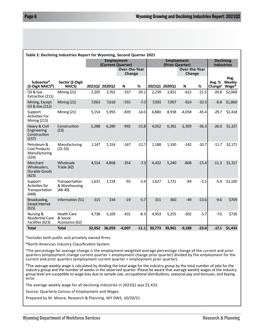| Table 2: Declining Industries Report for Wyoming, Second Quarter 2021 |                                                   |                                        |        |                         |         |                                      |        |          |         |                                       |                                     |
|-----------------------------------------------------------------------|---------------------------------------------------|----------------------------------------|--------|-------------------------|---------|--------------------------------------|--------|----------|---------|---------------------------------------|-------------------------------------|
|                                                                       |                                                   | <b>Employment</b><br>(Current Quarter) |        |                         |         | <b>Employment</b><br>(Prior Quarter) |        |          |         | <b>Declining</b><br><b>Industries</b> |                                     |
|                                                                       |                                                   | <b>Over-the-Year</b><br>Change         |        | Over-the-Year<br>Change |         |                                      |        |          |         |                                       |                                     |
| Subsector <sup>a</sup><br>(3-Digit NAICS <sup>b</sup> )               | Sector (2-Digit<br><b>NAICS)</b>                  | 2021Q2 2020Q2                          |        | N                       | $\%$    | 2021Q1 2020Q1                        |        | N        | %       | Avg. %<br>Change <sup>c</sup>         | Avg.<br>Weekly<br>Wage <sup>a</sup> |
| Oil & Gas<br>Extraction (211)                                         | Mining (21)                                       | 2,205                                  | 2,762  | $-557$                  | $-20.2$ | 2,239                                | 2,851  | $-612$   | $-21.5$ | $-20.8$                               | \$2,068                             |
| Mining, Except<br>Oil & Gas (212)                                     | Mining (21)                                       | 7,063                                  | 7,618  | $-555$                  | $-7.3$  | 7,093                                | 7,907  | $-814$   | $-10.3$ | $-8.8$                                | \$1,860                             |
| Support<br><b>Activities For</b><br>Mining (213)                      | Mining (21)                                       | 5,154                                  | 5,993  | $-839$                  | $-14.0$ | 4,880                                | 8,938  | $-4,058$ | $-45.4$ | $-29.7$                               | \$1,418                             |
| Heavy & Civil<br>Engineering<br>Construction<br>(237)                 | Construction<br>(23)                              | 5,288                                  | 6,280  | $-992$                  | $-15.8$ | 4,052                                | 6,361  | $-2,309$ | $-36.3$ | $-26.0$                               | \$1,327                             |
| Petroleum &<br><b>Coal Products</b><br>Manufacturing<br>(324)         | Manufacturing<br>$(31-33)$                        | 1,147                                  | 1,314  | $-167$                  | $-12.7$ | 1,188                                | 1,330  | $-142$   | $-10.7$ | $-11.7$                               | \$2,171                             |
| Merchant<br>Wholesalers,<br>Durable Goods<br>(423)                    | Wholesale<br>Trade (42)                           | 4,514                                  | 4.868  | $-354$                  | $-7.3$  | 4,432                                | 5,240  | $-808$   | $-15.4$ | $-11.3$                               | \$1,317                             |
| Support<br>Activities for<br>Transportation<br>(488)                  | Transportation<br>& Warehousing<br>$(48-49)$      | 1,631                                  | 1,724  | $-93$                   | $-5.4$  | 1,627                                | 1,721  | $-94$    | $-5.5$  | $-5.4$                                | \$1,100                             |
| Broadcasting,<br><b>Except Internet</b><br>(515)                      | Information (51)                                  | 315                                    | 334    | $-19$                   | $-5.7$  | 311                                  | 360    | $-49$    | $-13.6$ | $-9.6$                                | \$709                               |
| Nursing &<br><b>Residential Care</b><br>Facilities (623)              | <b>Health Care</b><br>& Social<br>Assistance (62) | 4,738                                  | 5,169  | $-431$                  | $-8.3$  | 4,953                                | 5,255  | $-302$   | $-5.7$  | $-7.0$                                | \$726                               |
| <b>Total</b>                                                          | <b>Total</b>                                      | 32,052                                 | 36,059 | $-4,007$                | $-11.1$ | 30,773                               | 39,961 | $-9,188$ | $-23.0$ | $-17.1$                               | \$1,433                             |

aIncludes both public and privately owned firms.

bNorth American Industry Classification System.

<sup>c</sup>The percentage for average change is the employment-weighted average percentage change of the current and prior quarters (employment change current quarter + employment change prior quarter) divided by the employment for the current and prior quarters (employment current quarter + employment prior quarter).

 $^{\text{d}}$ The average weekly wage is calculated by dividing the total wage for the industry group by the total number of jobs for the industry group and the number of weeks in the observed quarter. Please be aware that average weekly wages at the industry group level are suceptible to wage bias due to sample size, occupational distributions, seasonal pay and bonuses, and keying error.

The average weekly wage for all declining industries in 2021Q1 was \$1,433.

Source: Quarterly Census of Employment and Wages.

Prepared by M. Moore, Research & Planning, WY DWS, 10/20/21.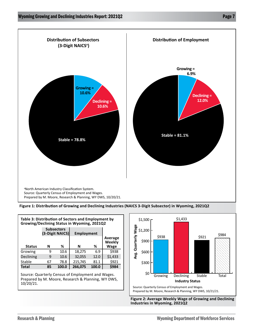

**Figure 1: Distribution of Growing and Declining Industries (NAICS 3-Digit Subsector) in Wyoming, 2021Q2**

| Table 3: Distribution of Sectors and Employment by<br>Growing/Declining Status in Wyoming, 2021Q2 |    |                                      |            |                   |         |  |  |  |  |
|---------------------------------------------------------------------------------------------------|----|--------------------------------------|------------|-------------------|---------|--|--|--|--|
|                                                                                                   |    | <b>Subsectors</b><br>(3-Digit NAICS) | Employment |                   |         |  |  |  |  |
|                                                                                                   |    |                                      |            | Average<br>Weekly |         |  |  |  |  |
| <b>Status</b>                                                                                     | N  | ℅                                    | N          | %                 | Wage    |  |  |  |  |
| Growing                                                                                           | 9  | 10.6                                 | 18,275     | 6.9               | \$938   |  |  |  |  |
| Declining                                                                                         | 9  | 10.6                                 | 32,055     | 12.0              | \$1,433 |  |  |  |  |
| Stable                                                                                            | 67 | 78.8                                 | 215,745    | 81.1              | \$921   |  |  |  |  |
| Total                                                                                             | 85 | 100.0                                | 266,075    | 100.0             | \$984   |  |  |  |  |

Source: Quarterly Census of Employment and Wages. Prepared by M. Moore, Research & Planning, WY DWS, 10/20/21.



**Figure 2: Average Weekly Wage of Growing and Declining Industries in Wyoming, 2021Q2**